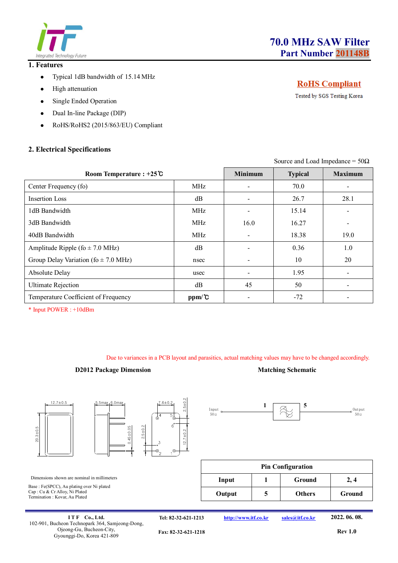

#### **1. Features**

- Typical 1dB bandwidth of 15.14 MHz
- High attenuation
- Single Ended Operation
- Dual In-line Package (DIP)
- RoHS/RoHS2 (2015/863/EU) Compliant

## **2. Electrical Specifications**

# **RoHS** Compliant

Tested by SGS Testing Korea

Source and Load Impedance =  $50\Omega$ 

| Room Temperature : $+25^\circ$ C         |                   | <b>Minimum</b>               | <b>Typical</b> | <b>Maximum</b> |
|------------------------------------------|-------------------|------------------------------|----------------|----------------|
| Center Frequency (fo)                    | <b>MHz</b>        |                              | 70.0           |                |
| Insertion Loss                           | dB                |                              | 26.7           | 28.1           |
| 1dB Bandwidth                            | MHz               |                              | 15.14          |                |
| 3dB Bandwidth                            | <b>MHz</b>        | 16.0                         | 16.27          |                |
| 40dB Bandwidth                           | <b>MHz</b>        | $\qquad \qquad \blacksquare$ | 18.38          | 19.0           |
| Amplitude Ripple (fo $\pm$ 7.0 MHz)      | dB                |                              | 0.36           | 1.0            |
| Group Delay Variation (fo $\pm$ 7.0 MHz) | nsec              |                              | 10             | 20             |
| Absolute Delay                           | usec              |                              | 1.95           |                |
| <b>Ultimate Rejection</b>                | dB                | 45                           | 50             |                |
| Temperature Coefficient of Frequency     | $ppm/\mathcal{C}$ |                              | $-72$          |                |

\* Input POWER : +10dBm

Due to variances in a PCB layout and parasitics, actual matching values may have to be changed accordingly.

Input  $50\circ$ 

#### **D2012 Package Dimension Matching Schematic**



 $1 \overline{\phantom{0}}$  5

V,





Dimensions shown are nominal in millimeters Base : Fe(SPCC), Au plating over Ni plated Cap : Cu & Cr Alloy, Ni Plated Termination : Kovar, Au Plated

| <b>Pin Configuration</b> |  |               |        |  |  |
|--------------------------|--|---------------|--------|--|--|
| Input                    |  | Ground        | 2,4    |  |  |
| Output                   |  | <b>Others</b> | Ground |  |  |

**I T F Co., Ltd.** 102-901, Bucheon Technopark 364, Samjeong-Dong, Ojeong-Gu, Bucheon-City, Gyounggi-Do, Korea 421-809

**Tel: 82-32-621-1213 http://www.itf.co.kr sales@itf.co.kr 2022. 06. 08.**

Output 50Ω